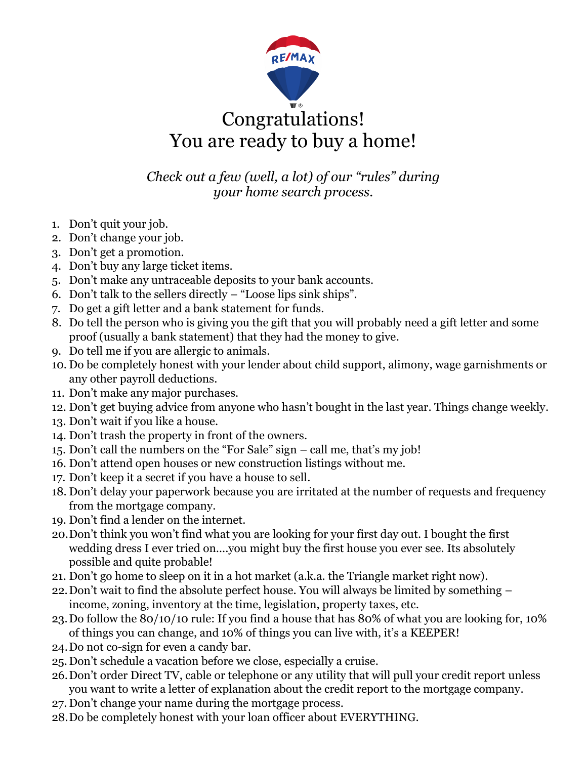

## Congratulations! You are ready to buy a home!

*Check out a few (well, a lot) of our "rules" during your home search process.*

- 1. Don't quit your job.
- 2. Don't change your job.
- 3. Don't get a promotion.
- 4. Don't buy any large ticket items.
- 5. Don't make any untraceable deposits to your bank accounts.
- 6. Don't talk to the sellers directly "Loose lips sink ships".
- 7. Do get a gift letter and a bank statement for funds.
- 8. Do tell the person who is giving you the gift that you will probably need a gift letter and some proof (usually a bank statement) that they had the money to give.
- 9. Do tell me if you are allergic to animals.
- 10. Do be completely honest with your lender about child support, alimony, wage garnishments or any other payroll deductions.
- 11. Don't make any major purchases.
- 12. Don't get buying advice from anyone who hasn't bought in the last year. Things change weekly.
- 13. Don't wait if you like a house.
- 14. Don't trash the property in front of the owners.
- 15. Don't call the numbers on the "For Sale" sign call me, that's my job!
- 16. Don't attend open houses or new construction listings without me.
- 17. Don't keep it a secret if you have a house to sell.
- 18. Don't delay your paperwork because you are irritated at the number of requests and frequency from the mortgage company.
- 19. Don't find a lender on the internet.
- 20.Don't think you won't find what you are looking for your first day out. I bought the first wedding dress I ever tried on….you might buy the first house you ever see. Its absolutely possible and quite probable!
- 21. Don't go home to sleep on it in a hot market (a.k.a. the Triangle market right now).
- 22.Don't wait to find the absolute perfect house. You will always be limited by something income, zoning, inventory at the time, legislation, property taxes, etc.
- 23.Do follow the 80/10/10 rule: If you find a house that has 80% of what you are looking for, 10% of things you can change, and 10% of things you can live with, it's a KEEPER!
- 24.Do not co-sign for even a candy bar.
- 25.Don't schedule a vacation before we close, especially a cruise.
- 26.Don't order Direct TV, cable or telephone or any utility that will pull your credit report unless you want to write a letter of explanation about the credit report to the mortgage company.
- 27. Don't change your name during the mortgage process.
- 28.Do be completely honest with your loan officer about EVERYTHING.